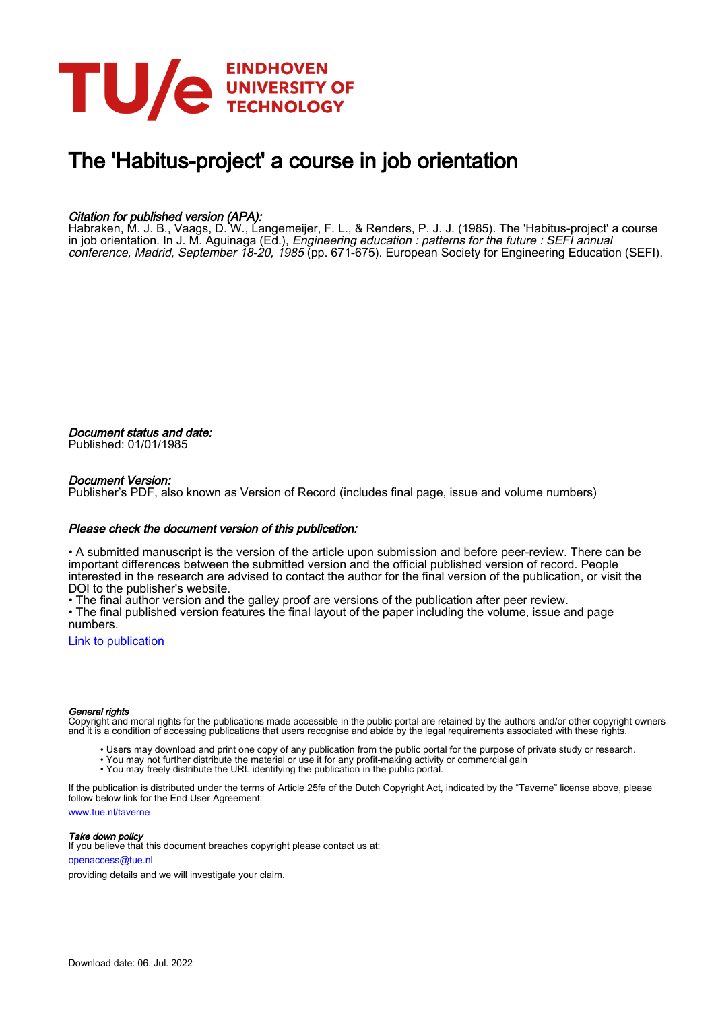

# The 'Habitus-project' a course in job orientation

# Citation for published version (APA):

Habraken, M. J. B., Vaags, D. W., Langemeijer, F. L., & Renders, P. J. J. (1985). The 'Habitus-project' a course in job orientation. In J. M. Aguinaga (Ed.), *Engineering education : patterns for the future : SEFI annual* conference, Madrid, September 18-20, 1985 (pp. 671-675). European Society for Engineering Education (SEFI).

Document status and date: Published: 01/01/1985

# Document Version:

Publisher's PDF, also known as Version of Record (includes final page, issue and volume numbers)

# Please check the document version of this publication:

• A submitted manuscript is the version of the article upon submission and before peer-review. There can be important differences between the submitted version and the official published version of record. People interested in the research are advised to contact the author for the final version of the publication, or visit the DOI to the publisher's website.

• The final author version and the galley proof are versions of the publication after peer review.

• The final published version features the final layout of the paper including the volume, issue and page numbers.

[Link to publication](https://research.tue.nl/en/publications/c7872c2b-be4c-4f9c-b8fe-51ef68773ec2)

## General rights

Copyright and moral rights for the publications made accessible in the public portal are retained by the authors and/or other copyright owners and it is a condition of accessing publications that users recognise and abide by the legal requirements associated with these rights.

- Users may download and print one copy of any publication from the public portal for the purpose of private study or research.
- You may not further distribute the material or use it for any profit-making activity or commercial gain
- You may freely distribute the URL identifying the publication in the public portal.

If the publication is distributed under the terms of Article 25fa of the Dutch Copyright Act, indicated by the "Taverne" license above, please follow below link for the End User Agreement:

www.tue.nl/taverne

**Take down policy**<br>If you believe that this document breaches copyright please contact us at:

openaccess@tue.nl

providing details and we will investigate your claim.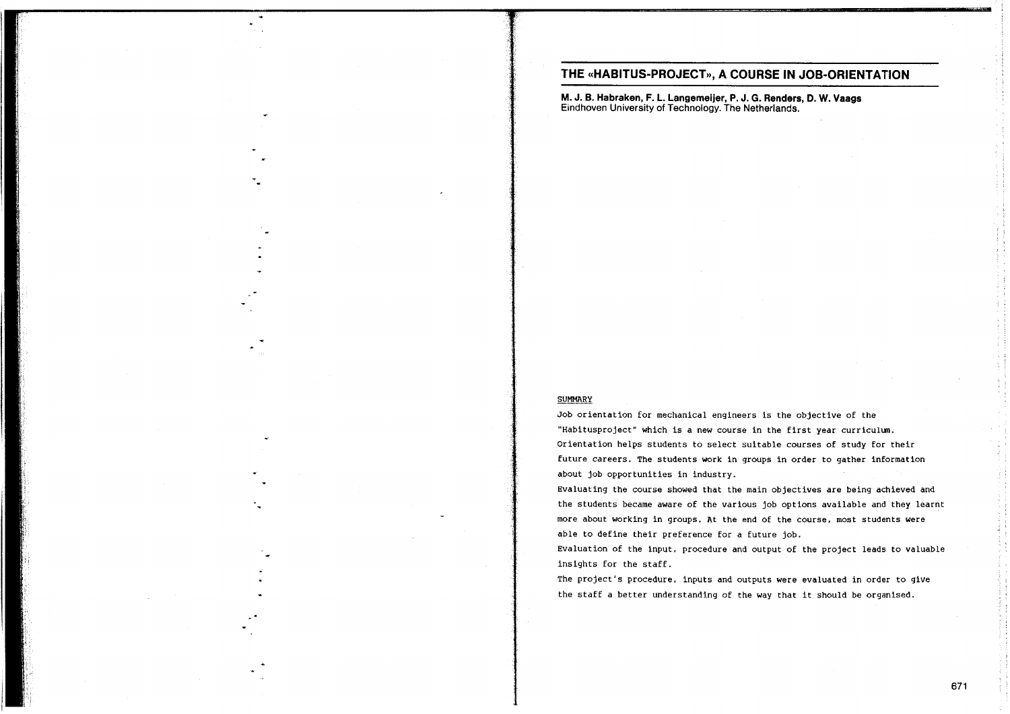# THE «HABITUS-PROJECT», A COURSE IN JOB-ORIENTATION

M. J. B. Habraken, F. L. Langemeijer, P. J. G. Renders, D. W. Vaags Eindhoven University of Technology. The Netherlands.

#### **SUMMARY**

Job orientation for mechanical engineers is the objective of the "Habitusproject" which is a new course in the first year curriculum. Orientation helps students to select suitable courses of study for their future careers. The students work in groups in order to gather information about job opportunities in industry.

Evaluating the course showed that the main objectives are being achieved and the students became aware of the various job options available and they learnt more about working in groups. At the end of the course, most students were able to define their preference for a future job.

Evaluation of the input, procedure and output of the project leads to valuable insights for the staff.

The project's procedure, inputs and outputs were evaluated in order to give the staff a better understanding of the way that it should be organised.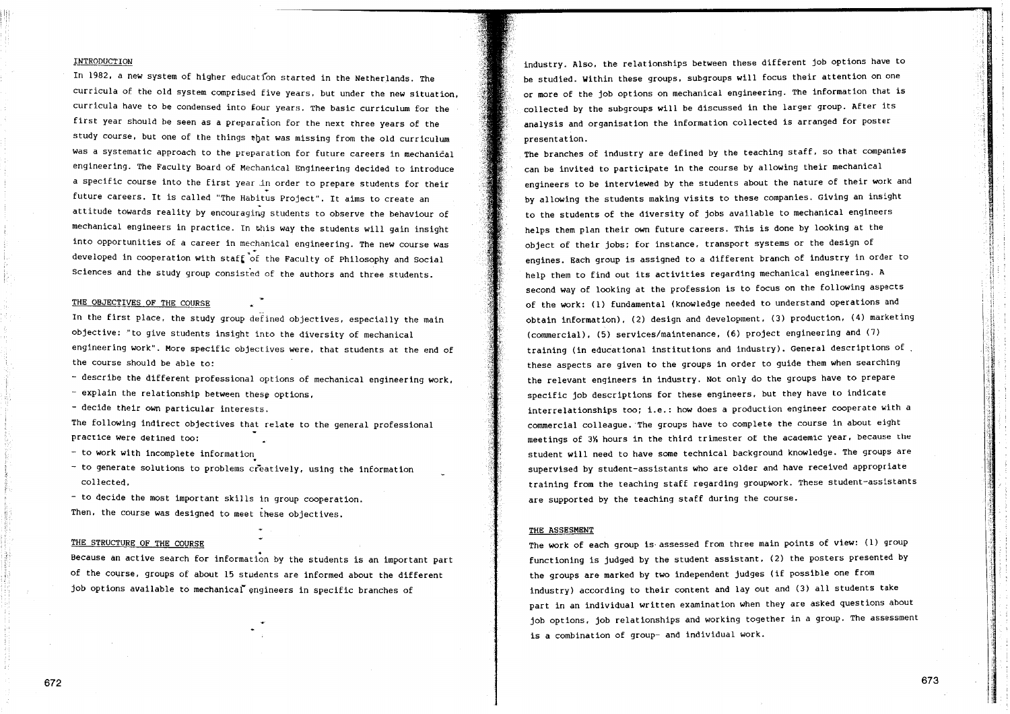### **INTRODUCTION**

In 1982, a new system of higher education started in the Netherlands. The curricula of the old system comprised five years, but under the new situation, curricula have to be condensed into four years. The basic curriculum for the first year should be seen as a preparation for the next three years of the study course, but one of the things that was missing from the old curriculum was a systematic approach to the preparation for future careers in mechanical engineering. The Faculty Board of Mechanical Engineering decided to introduce a specific course into the first year in order to prepare students for their future careers. It is called "The Habitus Project". It aims to create an attitude towards reality by encouraging students to observe the behaviour of mechanical engineers in practice. In this way the students will gain insight into opportunities of a career in mechanical engineering. The new course was developed in cooperation with staff of the Faculty of Philosophy and Social Sciences and the study group consisted of the authors and three students.

#### THE OBJECTIVES OF THE COURSE

In the first place, the study group defined objectives, especially the main objective: "to give students insight into the diversity of mechanical engineering work". More specific objectives were, that students at the end of the course should be able to:

- describe the different professional options of mechanical engineering work,
- explain the relationship between these options,
- decide their own particular interests.

The following indirect objectives that relate to the general professional practice were defined too:

- to work with incomplete information
- to generate solutions to problems creatively, using the information collected.

- to decide the most important skills in group cooperation. Then, the course was designed to meet these objectives.

#### THE STRUCTURE OF THE COURSE

Because an active search for information by the students is an important part of the course, groups of about 15 students are informed about the different job options available to mechanical engineers in specific branches of

industry. Also, the relationships between these different job options have to be studied. Within these groups, subgroups will focus their attention on one or more of the job options on mechanical engineering. The information that is collected by the subgroups will be discussed in the larger group. After its analysis and organisation the information collected is arranged for poster presentation.

The branches of industry are defined by the teaching staff, so that companies can be invited to participate in the course by allowing their mechanical engineers to be interviewed by the students about the nature of their work and by allowing the students making visits to these companies. Giving an insight to the students of the diversity of jobs available to mechanical engineers helps them plan their own future careers. This is done by looking at the object of their jobs; for instance, transport systems or the design of engines. Each group is assigned to a different branch of industry in order to help them to find out its activities regarding mechanical engineering. A second way of looking at the profession is to focus on the following aspects of the work: (1) fundamental (knowledge needed to understand operations and obtain information), (2) design and development, (3) production, (4) marketing (commercial), (5) services/maintenance, (6) project engineering and (7) training (in educational institutions and industry). General descriptions of these aspects are given to the groups in order to guide them when searching the relevant engineers in industry. Not only do the groups have to prepare specific job descriptions for these engineers, but they have to indicate interrelationships too; i.e.: how does a production engineer cooperate with a commercial colleague. The groups have to complete the course in about eight meetings of 3% hours in the third trimester of the academic year, because the student will need to have some technical background knowledge. The groups are supervised by student-assistants who are older and have received appropriate training from the teaching staff regarding groupwork. These student-assistants are supported by the teaching staff during the course.

#### THE ASSESMENT

The work of each group is assessed from three main points of view: (1) group functioning is judged by the student assistant, (2) the posters presented by the groups are marked by two independent judges (if possible one from industry) according to their content and lay out and (3) all students take part in an individual written examination when they are asked questions about job options, job relationships and working together in a group. The assessment is a combination of group- and individual work.